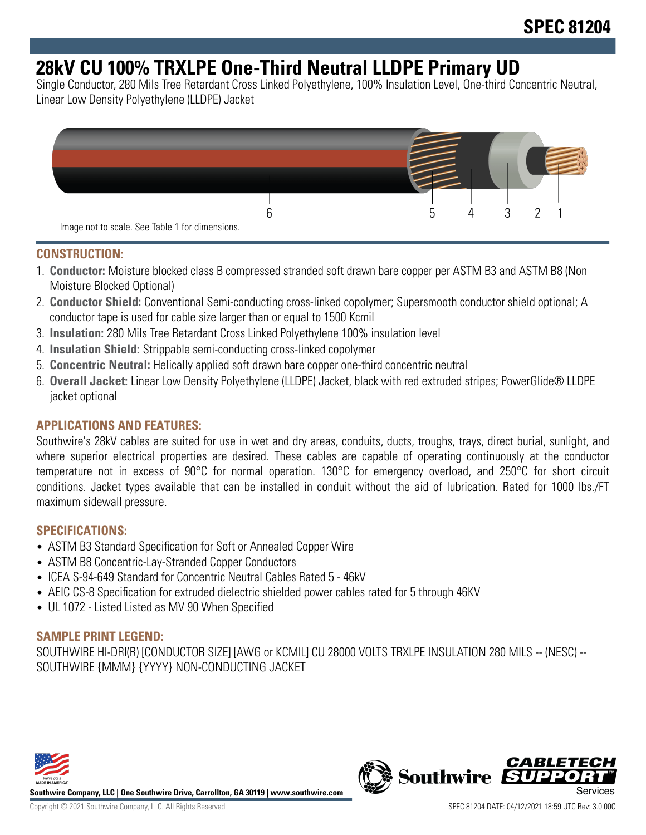# **28kV CU 100% TRXLPE One-Third Neutral LLDPE Primary UD**

Single Conductor, 280 Mils Tree Retardant Cross Linked Polyethylene, 100% Insulation Level, One-third Concentric Neutral, Linear Low Density Polyethylene (LLDPE) Jacket



#### **CONSTRUCTION:**

- 1. **Conductor:** Moisture blocked class B compressed stranded soft drawn bare copper per ASTM B3 and ASTM B8 (Non Moisture Blocked Optional)
- 2. **Conductor Shield:** Conventional Semi-conducting cross-linked copolymer; Supersmooth conductor shield optional; A conductor tape is used for cable size larger than or equal to 1500 Kcmil
- 3. **Insulation:** 280 Mils Tree Retardant Cross Linked Polyethylene 100% insulation level
- 4. **Insulation Shield:** Strippable semi-conducting cross-linked copolymer
- 5. **Concentric Neutral:** Helically applied soft drawn bare copper one-third concentric neutral
- 6. **Overall Jacket:** Linear Low Density Polyethylene (LLDPE) Jacket, black with red extruded stripes; PowerGlide® LLDPE jacket optional

### **APPLICATIONS AND FEATURES:**

Southwire's 28kV cables are suited for use in wet and dry areas, conduits, ducts, troughs, trays, direct burial, sunlight, and where superior electrical properties are desired. These cables are capable of operating continuously at the conductor temperature not in excess of 90°C for normal operation. 130°C for emergency overload, and 250°C for short circuit conditions. Jacket types available that can be installed in conduit without the aid of lubrication. Rated for 1000 lbs./FT maximum sidewall pressure.

#### **SPECIFICATIONS:**

- ASTM B3 Standard Specification for Soft or Annealed Copper Wire
- ASTM B8 Concentric-Lay-Stranded Copper Conductors
- ICEA S-94-649 Standard for Concentric Neutral Cables Rated 5 46kV
- AEIC CS-8 Specification for extruded dielectric shielded power cables rated for 5 through 46KV
- UL 1072 Listed Listed as MV 90 When Specified

#### **SAMPLE PRINT LEGEND:**

SOUTHWIRE HI-DRI(R) [CONDUCTOR SIZE] [AWG or KCMIL] CU 28000 VOLTS TRXLPE INSULATION 280 MILS -- (NESC) -- SOUTHWIRE {MMM} {YYYY} NON-CONDUCTING JACKET



**Southwire Company, LLC | One Southwire Drive, Carrollton, GA 30119 | www.southwire.com**

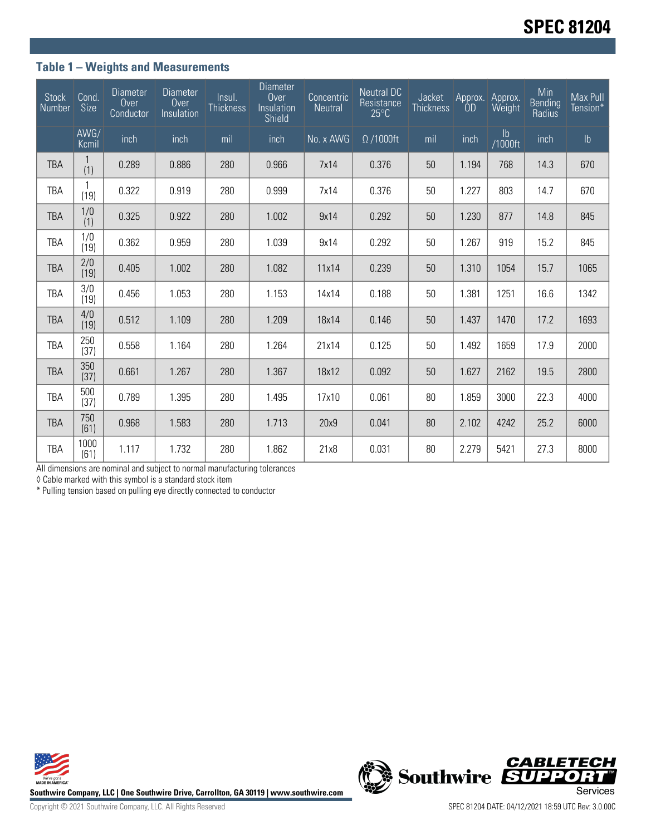### **Table 1 – Weights and Measurements**

| Stock<br>Number | Cond.<br><b>Size</b> | <b>Diameter</b><br>Over<br>Conductor | <b>Diameter</b><br>Over<br>Insulation | Insul.<br><b>Thickness</b> | <b>Diameter</b><br>Over<br>Insulation<br>Shield | Concentric<br><b>Neutral</b> | <b>Neutral DC</b><br>Resistance<br>$25^{\circ}$ C | Jacket<br><b>Thickness</b> | Approx.<br>0D | Approx.<br>Weight        | Min<br><b>Bending</b><br>Radius | Max Pull<br>Tension* |
|-----------------|----------------------|--------------------------------------|---------------------------------------|----------------------------|-------------------------------------------------|------------------------------|---------------------------------------------------|----------------------------|---------------|--------------------------|---------------------------------|----------------------|
|                 | AWG/<br>Kcmil        | inch                                 | inch                                  | mil                        | inch                                            | No. x AWG                    | $\Omega$ /1000ft                                  | mil                        | inch          | $\mathsf{lb}$<br>/1000ft | inch                            | $\mathsf{lb}$        |
| <b>TBA</b>      | (1)                  | 0.289                                | 0.886                                 | 280                        | 0.966                                           | 7x14                         | 0.376                                             | 50                         | 1.194         | 768                      | 14.3                            | 670                  |
| TBA             | (19)                 | 0.322                                | 0.919                                 | 280                        | 0.999                                           | 7x14                         | 0.376                                             | 50                         | 1.227         | 803                      | 14.7                            | 670                  |
| <b>TBA</b>      | 1/0<br>(1)           | 0.325                                | 0.922                                 | 280                        | 1.002                                           | 9x14                         | 0.292                                             | 50                         | 1.230         | 877                      | 14.8                            | 845                  |
| TBA             | 1/0<br>(19)          | 0.362                                | 0.959                                 | 280                        | 1.039                                           | 9x14                         | 0.292                                             | 50                         | 1.267         | 919                      | 15.2                            | 845                  |
| <b>TBA</b>      | 2/0<br>(19)          | 0.405                                | 1.002                                 | 280                        | 1.082                                           | 11x14                        | 0.239                                             | 50                         | 1.310         | 1054                     | 15.7                            | 1065                 |
| TBA             | 3/0<br>(19)          | 0.456                                | 1.053                                 | 280                        | 1.153                                           | 14x14                        | 0.188                                             | 50                         | 1.381         | 1251                     | 16.6                            | 1342                 |
| <b>TBA</b>      | 4/0<br>(19)          | 0.512                                | 1.109                                 | 280                        | 1.209                                           | 18x14                        | 0.146                                             | 50                         | 1.437         | 1470                     | 17.2                            | 1693                 |
| TBA             | 250<br>(37)          | 0.558                                | 1.164                                 | 280                        | 1.264                                           | 21x14                        | 0.125                                             | 50                         | 1.492         | 1659                     | 17.9                            | 2000                 |
| <b>TBA</b>      | 350<br>(37)          | 0.661                                | 1.267                                 | 280                        | 1.367                                           | 18x12                        | 0.092                                             | 50                         | 1.627         | 2162                     | 19.5                            | 2800                 |
| TBA             | 500<br>(37)          | 0.789                                | 1.395                                 | 280                        | 1.495                                           | 17x10                        | 0.061                                             | 80                         | 1.859         | 3000                     | 22.3                            | 4000                 |
| <b>TBA</b>      | 750<br>(61)          | 0.968                                | 1.583                                 | 280                        | 1.713                                           | 20x9                         | 0.041                                             | 80                         | 2.102         | 4242                     | 25.2                            | 6000                 |
| <b>TBA</b>      | 1000<br>(61)         | 1.117                                | 1.732                                 | 280                        | 1.862                                           | 21x8                         | 0.031                                             | 80                         | 2.279         | 5421                     | 27.3                            | 8000                 |

All dimensions are nominal and subject to normal manufacturing tolerances

◊ Cable marked with this symbol is a standard stock item

\* Pulling tension based on pulling eye directly connected to conductor



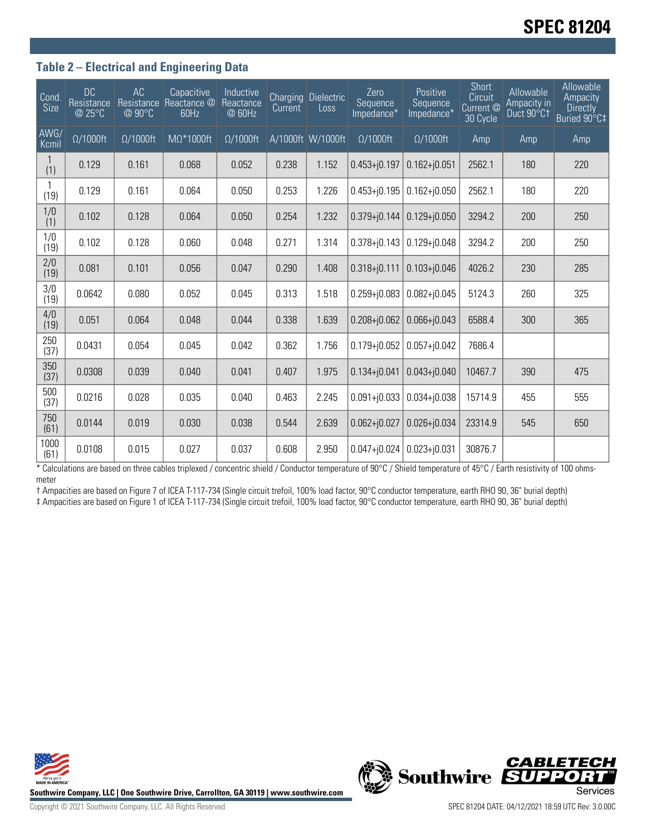# **SPEC 81204**

### **Table 2 – Electrical and Engineering Data**

| Cond.<br>Size | <b>DC</b><br>Resistance<br>@ 25°C | AC<br>Resistance<br>@ 90°C | Capacitive<br>Reactance @<br>60Hz | Inductive<br>Reactance<br>@ 60Hz | <b>Current</b> | <b>Charging Dielectric</b><br>Loss | Zero<br>Sequence<br>Impedance* | Positive<br>Sequence<br>Impedance* | Short<br><b>Circuit</b><br>Current @<br>30 Cycle | Allowable<br>Ampacity in<br>Duct 90°C1 | Allowable<br>Ampacity<br><b>Directly</b><br>Buried 90°C‡ |
|---------------|-----------------------------------|----------------------------|-----------------------------------|----------------------------------|----------------|------------------------------------|--------------------------------|------------------------------------|--------------------------------------------------|----------------------------------------|----------------------------------------------------------|
| AWG/<br>Kcmil | $\Omega/1000$ ft                  | $\Omega/1000$ ft           | $M\Omega^*1000ft$                 | $\Omega/1000$ ft                 |                | A/1000ft W/1000ft                  | $\Omega/1000$ ft               | $\Omega/1000$ ft                   | Amp                                              | Amp                                    | Amp                                                      |
| (1)           | 0.129                             | 0.161                      | 0.068                             | 0.052                            | 0.238          | 1.152                              | $0.453 + j0.197$               | $0.162 + j0.051$                   | 2562.1                                           | 180                                    | 220                                                      |
| (19)          | 0.129                             | 0.161                      | 0.064                             | 0.050                            | 0.253          | 1.226                              | $0.453 + j0.195$               | $0.162 + j0.050$                   | 2562.1                                           | 180                                    | 220                                                      |
| 1/0<br>(1)    | 0.102                             | 0.128                      | 0.064                             | 0.050                            | 0.254          | 1.232                              | $0.379 + j0.144$               | $0.129 + 0.050$                    | 3294.2                                           | 200                                    | 250                                                      |
| 1/0<br>(19)   | 0.102                             | 0.128                      | 0.060                             | 0.048                            | 0.271          | 1.314                              | $0.378 + j0.143$               | $0.129 + j0.048$                   | 3294.2                                           | 200                                    | 250                                                      |
| 2/0<br>(19)   | 0.081                             | 0.101                      | 0.056                             | 0.047                            | 0.290          | 1.408                              | $0.318 + j0.111$               | $0.103 + j0.046$                   | 4026.2                                           | 230                                    | 285                                                      |
| 3/0<br>(19)   | 0.0642                            | 0.080                      | 0.052                             | 0.045                            | 0.313          | 1.518                              | $0.259 + j0.083$               | $0.082 + j0.045$                   | 5124.3                                           | 260                                    | 325                                                      |
| 4/0<br>(19)   | 0.051                             | 0.064                      | 0.048                             | 0.044                            | 0.338          | 1.639                              | $0.208 + j0.062$               | $0.066 + 0.043$                    | 6588.4                                           | 300                                    | 365                                                      |
| 250<br>(37)   | 0.0431                            | 0.054                      | 0.045                             | 0.042                            | 0.362          | 1.756                              | $0.179 + j0.052$               | $0.057 + j0.042$                   | 7686.4                                           |                                        |                                                          |
| 350<br>(37)   | 0.0308                            | 0.039                      | 0.040                             | 0.041                            | 0.407          | 1.975                              | $0.134 + j0.041$               | $0.043 + 0.040$                    | 10467.7                                          | 390                                    | 475                                                      |
| 500<br>(37)   | 0.0216                            | 0.028                      | 0.035                             | 0.040                            | 0.463          | 2.245                              | $0.091 + j0.033$               | $0.034 + j0.038$                   | 15714.9                                          | 455                                    | 555                                                      |
| 750<br>(61)   | 0.0144                            | 0.019                      | 0.030                             | 0.038                            | 0.544          | 2.639                              | $0.062 + j0.027$               | $0.026 + 0.034$                    | 23314.9                                          | 545                                    | 650                                                      |
| 1000<br>(61)  | 0.0108                            | 0.015                      | 0.027                             | 0.037                            | 0.608          | 2.950                              | $0.047 + 0.024$                | $0.023 + j0.031$                   | 30876.7                                          |                                        |                                                          |

\* Calculations are based on three cables triplexed / concentric shield / Conductor temperature of 90°C / Shield temperature of 45°C / Earth resistivity of 100 ohmsmeter

† Ampacities are based on Figure 7 of ICEA T-117-734 (Single circuit trefoil, 100% load factor, 90°C conductor temperature, earth RHO 90, 36" burial depth) ‡ Ampacities are based on Figure 1 of ICEA T-117-734 (Single circuit trefoil, 100% load factor, 90°C conductor temperature, earth RHO 90, 36" burial depth)



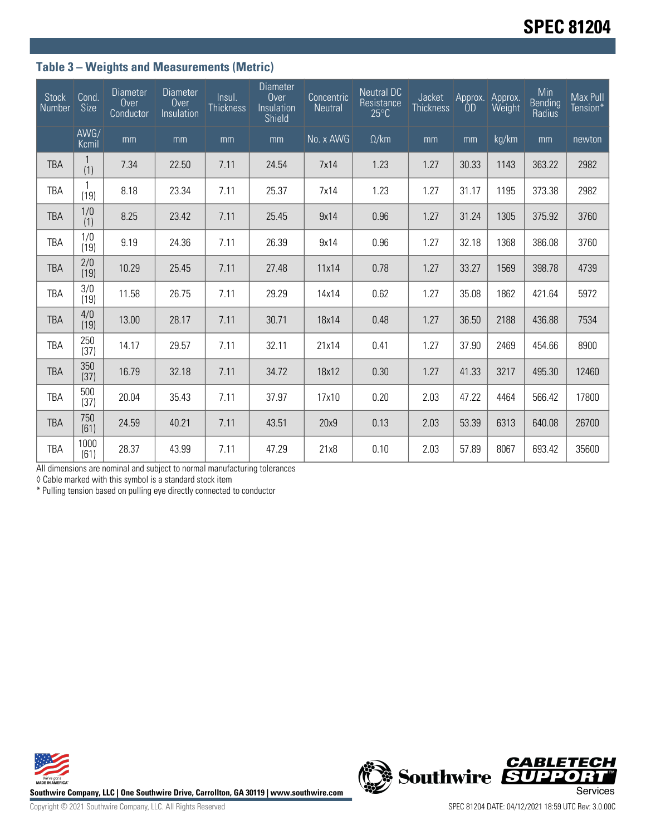## **Table 3 – Weights and Measurements (Metric)**

| <b>Stock</b><br>Number | Cond.<br>Size | <b>Diameter</b><br>Over<br>Conductor | <b>Diameter</b><br>Over<br>Insulation | Insul.<br><b>Thickness</b> | <b>Diameter</b><br>Over<br>Insulation<br>Shield | Concentric<br><b>Neutral</b> | <b>Neutral DC</b><br>Resistance<br>$25^{\circ}$ C | Jacket<br><b>Thickness</b> | Approx.<br><b>OD</b> | Approx.<br>Weight | Min<br><b>Bending</b><br>Radius | Max Pull<br>Tension* |
|------------------------|---------------|--------------------------------------|---------------------------------------|----------------------------|-------------------------------------------------|------------------------------|---------------------------------------------------|----------------------------|----------------------|-------------------|---------------------------------|----------------------|
|                        | AWG/<br>Kcmil | mm                                   | mm                                    | mm                         | mm                                              | No. x AWG                    | $\Omega$ /km                                      | mm                         | mm                   | kg/km             | mm                              | newton               |
| TBA                    | (1)           | 7.34                                 | 22.50                                 | 7.11                       | 24.54                                           | 7x14                         | 1.23                                              | 1.27                       | 30.33                | 1143              | 363.22                          | 2982                 |
| <b>TBA</b>             | (19)          | 8.18                                 | 23.34                                 | 7.11                       | 25.37                                           | 7x14                         | 1.23                                              | 1.27                       | 31.17                | 1195              | 373.38                          | 2982                 |
| <b>TBA</b>             | 1/0<br>(1)    | 8.25                                 | 23.42                                 | 7.11                       | 25.45                                           | 9x14                         | 0.96                                              | 1.27                       | 31.24                | 1305              | 375.92                          | 3760                 |
| TBA                    | 1/0<br>(19)   | 9.19                                 | 24.36                                 | 7.11                       | 26.39                                           | 9x14                         | 0.96                                              | 1.27                       | 32.18                | 1368              | 386.08                          | 3760                 |
| <b>TBA</b>             | 2/0<br>(19)   | 10.29                                | 25.45                                 | 7.11                       | 27.48                                           | 11x14                        | 0.78                                              | 1.27                       | 33.27                | 1569              | 398.78                          | 4739                 |
| TBA                    | 3/0<br>(19)   | 11.58                                | 26.75                                 | 7.11                       | 29.29                                           | 14x14                        | 0.62                                              | 1.27                       | 35.08                | 1862              | 421.64                          | 5972                 |
| <b>TBA</b>             | 4/0<br>(19)   | 13.00                                | 28.17                                 | 7.11                       | 30.71                                           | 18x14                        | 0.48                                              | 1.27                       | 36.50                | 2188              | 436.88                          | 7534                 |
| TBA                    | 250<br>(37)   | 14.17                                | 29.57                                 | 7.11                       | 32.11                                           | 21x14                        | 0.41                                              | 1.27                       | 37.90                | 2469              | 454.66                          | 8900                 |
| <b>TBA</b>             | 350<br>(37)   | 16.79                                | 32.18                                 | 7.11                       | 34.72                                           | 18x12                        | 0.30                                              | 1.27                       | 41.33                | 3217              | 495.30                          | 12460                |
| TBA                    | 500<br>(37)   | 20.04                                | 35.43                                 | 7.11                       | 37.97                                           | 17x10                        | 0.20                                              | 2.03                       | 47.22                | 4464              | 566.42                          | 17800                |
| <b>TBA</b>             | 750<br>(61)   | 24.59                                | 40.21                                 | 7.11                       | 43.51                                           | 20x9                         | 0.13                                              | 2.03                       | 53.39                | 6313              | 640.08                          | 26700                |
| <b>TBA</b>             | 1000<br>(61)  | 28.37                                | 43.99                                 | 7.11                       | 47.29                                           | 21x8                         | 0.10                                              | 2.03                       | 57.89                | 8067              | 693.42                          | 35600                |

All dimensions are nominal and subject to normal manufacturing tolerances

◊ Cable marked with this symbol is a standard stock item

\* Pulling tension based on pulling eye directly connected to conductor